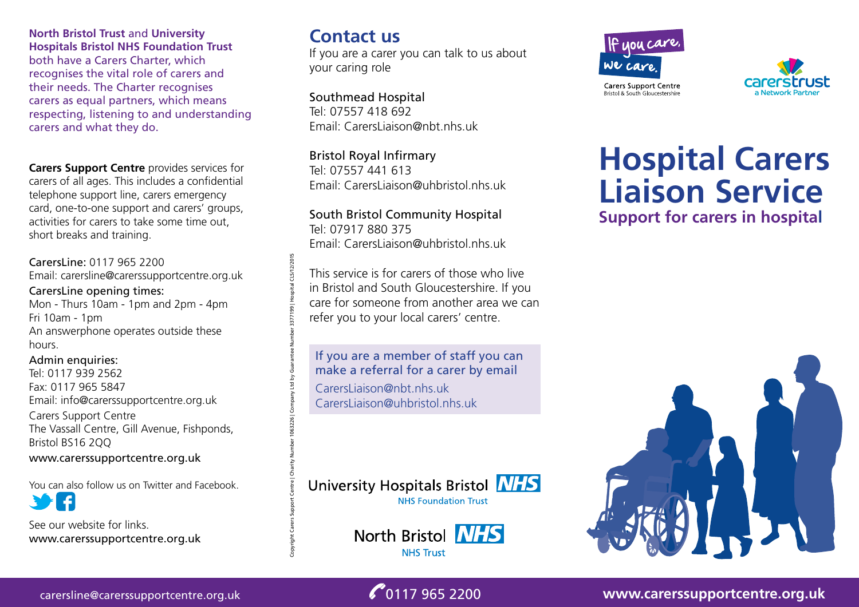**North Bristol Trust** and **University Hospitals Bristol NHS Foundation Trust** both have a Carers Charter, which recognises the vital role of carers and their needs. The Charter recognises carers as equal partners, which means respecting, listening to and understanding carers and what they do.

**Carers Support Centre** provides services for carers of all ages. This includes a confidential telephone support line, carers emergency card, one-to-one support and carers' groups, activities for carers to take some time out, short breaks and training.

### CarersLine: 0117 965 2200 Email: carersline@carerssupportcentre.org.uk

#### CarersLine opening times:

Mon - Thurs 10am - 1pm and 2pm - 4pm Fri 10am - 1pm An answerphone operates outside these hours.

#### Admin enquiries:

Tel: 0117 939 2562 Fax: 0117 965 5847 Email: info@carerssupportcentre.org.uk Carers Support Centre The Vassall Centre, Gill Avenue, Fishponds, Bristol BS16 2QQ www.carerssupportcentre.org.uk

You can also follow us on Twitter and Facebook.

See our website for links. www.carerssupportcentre.org.uk

# **Contact us**

If you are a carer you can talk to us about your caring role

Southmead Hospital Tel: 07557 418 692 Email: CarersLiaison@nbt.nhs.uk

Bristol Royal Infirmary Tel: 07557 441 613 Email: CarersLiaison@uhbristol.nhs.uk

South Bristol Community Hospital Tel: 07917 880 375 Email: CarersLiaison@uhbristol.nhs.uk

This service is for carers of those who live in Bristol and South Gloucestershire. If you care for someone from another area we can refer you to your local carers' centre.

If you are a member of staff you can make a referral for a carer by email

CarersLiaison@nbt.nhs.uk CarersLiaison@uhbristol.nhs.uk

Copyright Carers Support Centre | Charity Number 1063226 | Company Ltd by Guarantee Number 3377199 | Hospital CLS/12/2015

# University Hospitals Bristol **NHS NHS Foundation Trust**

North Bristol **NHS NHS Trust** 





# **Hospital Carers Liaison Service Support for carers in hospital**



carersline@carerssupportcentre.org.uk 0117 965 2200 **www.carerssupportcentre.org.uk**